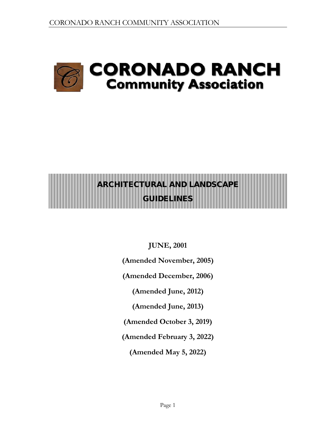

# ARCHITECTURAL AND LANDSCAPE **GUIDELINES**

**JUNE, 2001**

**(Amended November, 2005)**

**(Amended December, 2006)**

**(Amended June, 2012)**

**(Amended June, 2013)**

**(Amended October 3, 2019)**

**(Amended February 3, 2022)**

**(Amended May 5, 2022)**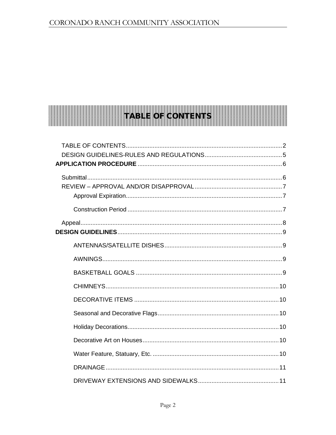# **TABLE OF CONTENTS**

<span id="page-1-0"></span>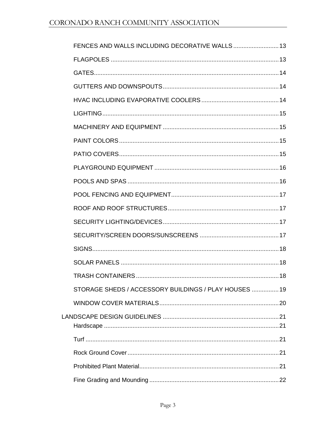| STORAGE SHEDS / ACCESSORY BUILDINGS / PLAY HOUSES  19 |  |
|-------------------------------------------------------|--|
|                                                       |  |
|                                                       |  |
|                                                       |  |
|                                                       |  |
|                                                       |  |
|                                                       |  |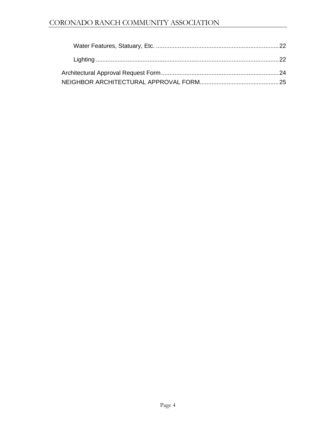# CORONADO RANCH COMMUNITY ASSOCIATION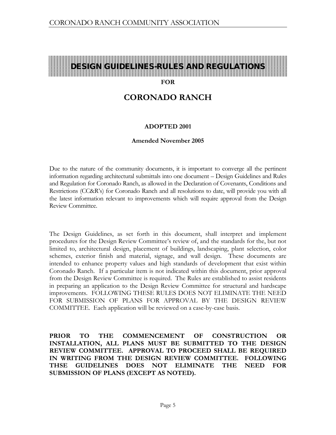# <span id="page-4-0"></span>DESIGN GUIDELINES-RULES AND REGULATIONS

#### **FOR**

# **CORONADO RANCH**

#### **ADOPTED 2001**

#### **Amended November 2005**

Due to the nature of the community documents, it is important to converge all the pertinent information regarding architectural submittals into one document – Design Guidelines and Rules and Regulation for Coronado Ranch, as allowed in the Declaration of Covenants, Conditions and Restrictions (CC&R's) for Coronado Ranch and all resolutions to date, will provide you with all the latest information relevant to improvements which will require approval from the Design Review Committee.

The Design Guidelines, as set forth in this document, shall interpret and implement procedures for the Design Review Committee's review of, and the standards for the, but not limited to, architectural design, placement of buildings, landscaping, plant selection, color schemes, exterior finish and material, signage, and wall design. These documents are intended to enhance property values and high standards of development that exist within Coronado Ranch. If a particular item is not indicated within this document, prior approval from the Design Review Committee is required. The Rules are established to assist residents in preparing an application to the Design Review Committee for structural and hardscape improvements. FOLLOWING THESE RULES DOES NOT ELIMINATE THE NEED FOR SUBMISSION OF PLANS FOR APPROVAL BY THE DESIGN REVIEW COMMITTEE. Each application will be reviewed on a case-by-case basis.

**PRIOR TO THE COMMENCEMENT OF CONSTRUCTION OR INSTALLATION, ALL PLANS MUST BE SUBMITTED TO THE DESIGN REVIEW COMMITTEE. APPROVAL TO PROCEED SHALL BE REQUIRED IN WRITING FROM THE DESIGN REVIEW COMMITTEE. FOLLOWING THSE GUIDELINES DOES NOT ELIMINATE THE NEED FOR SUBMISSION OF PLANS (EXCEPT AS NOTED).**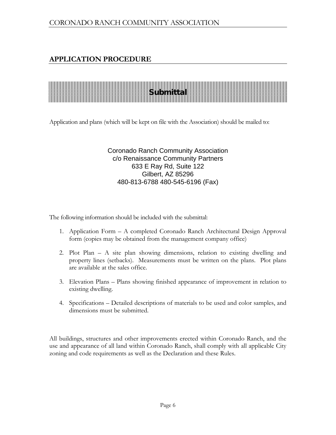# <span id="page-5-1"></span><span id="page-5-0"></span>**APPLICATION PROCEDURE**

# **Submittal**

Application and plans (which will be kept on file with the Association) should be mailed to:

## Coronado Ranch Community Association c/o Renaissance Community Partners 633 E Ray Rd, Suite 122 Gilbert, AZ 85296 480-813-6788 480-545-6196 (Fax)

The following information should be included with the submittal:

- 1. Application Form A completed Coronado Ranch Architectural Design Approval form (copies may be obtained from the management company office)
- 2. Plot Plan A site plan showing dimensions, relation to existing dwelling and property lines (setbacks). Measurements must be written on the plans. Plot plans are available at the sales office.
- 3. Elevation Plans Plans showing finished appearance of improvement in relation to existing dwelling.
- 4. Specifications Detailed descriptions of materials to be used and color samples, and dimensions must be submitted.

All buildings, structures and other improvements erected within Coronado Ranch, and the use and appearance of all land within Coronado Ranch, shall comply with all applicable City zoning and code requirements as well as the Declaration and these Rules.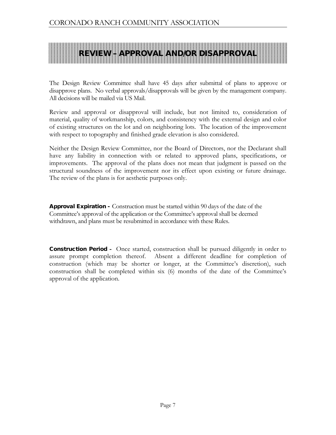# <span id="page-6-0"></span>REVIEW – APPROVAL AND/OR DISAPPROVAL

The Design Review Committee shall have 45 days after submittal of plans to approve or disapprove plans. No verbal approvals/disapprovals will be given by the management company. All decisions will be mailed via US Mail.

Review and approval or disapproval will include, but not limited to, consideration of material, quality of workmanship, colors, and consistency with the external design and color of existing structures on the lot and on neighboring lots. The location of the improvement with respect to topography and finished grade elevation is also considered.

Neither the Design Review Committee, nor the Board of Directors, nor the Declarant shall have any liability in connection with or related to approved plans, specifications, or improvements. The approval of the plans does not mean that judgment is passed on the structural soundness of the improvement nor its effect upon existing or future drainage. The review of the plans is for aesthetic purposes only.

<span id="page-6-1"></span>**Approval Expiration -** Construction must be started within 90 days of the date of the Committee's approval of the application or the Committee's approval shall be deemed withdrawn, and plans must be resubmitted in accordance with these Rules.

<span id="page-6-2"></span>Construction Period **-** Once started, construction shall be pursued diligently in order to assure prompt completion thereof. Absent a different deadline for completion of construction (which may be shorter or longer, at the Committee's discretion), such construction shall be completed within six (6) months of the date of the Committee's approval of the application.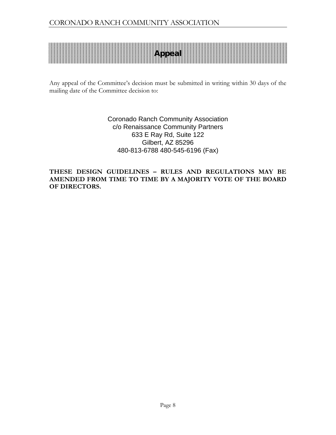# Appeal

<span id="page-7-0"></span>Any appeal of the Committee's decision must be submitted in writing within 30 days of the mailing date of the Committee decision to:

> Coronado Ranch Community Association c/o Renaissance Community Partners 633 E Ray Rd, Suite 122 Gilbert, AZ 85296 480-813-6788 480-545-6196 (Fax)

**THESE DESIGN GUIDELINES – RULES AND REGULATIONS MAY BE AMENDED FROM TIME TO TIME BY A MAJORITY VOTE OF THE BOARD OF DIRECTORS.**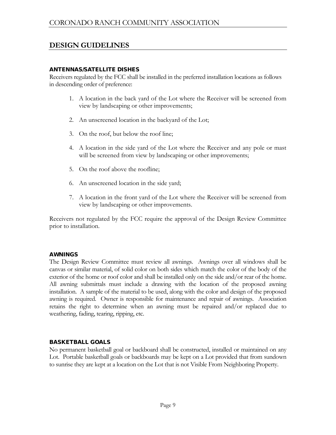# <span id="page-8-0"></span>**DESIGN GUIDELINES**

#### <span id="page-8-1"></span>ANTENNAS/SATELLITE DISHES

Receivers regulated by the FCC shall be installed in the preferred installation locations as follows in descending order of preference:

- 1. A location in the back yard of the Lot where the Receiver will be screened from view by landscaping or other improvements;
- 2. An unscreened location in the backyard of the Lot;
- 3. On the roof, but below the roof line;
- 4. A location in the side yard of the Lot where the Receiver and any pole or mast will be screened from view by landscaping or other improvements;
- 5. On the roof above the roofline;
- 6. An unscreened location in the side yard;
- 7. A location in the front yard of the Lot where the Receiver will be screened from view by landscaping or other improvements.

Receivers not regulated by the FCC require the approval of the Design Review Committee prior to installation.

#### <span id="page-8-2"></span>AWNINGS

The Design Review Committee must review all awnings. Awnings over all windows shall be canvas or similar material, of solid color on both sides which match the color of the body of the exterior of the home or roof color and shall be installed only on the side and/or rear of the home. All awning submittals must include a drawing with the location of the proposed awning installation. A sample of the material to be used, along with the color and design of the proposed awning is required. Owner is responsible for maintenance and repair of awnings. Association retains the right to determine when an awning must be repaired and/or replaced due to weathering, fading, tearing, ripping, etc.

#### <span id="page-8-3"></span>BASKETBALL GOALS

No permanent basketball goal or backboard shall be constructed, installed or maintained on any Lot. Portable basketball goals or backboards may be kept on a Lot provided that from sundown to sunrise they are kept at a location on the Lot that is not Visible From Neighboring Property.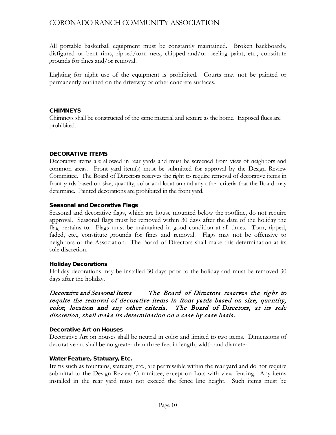All portable basketball equipment must be constantly maintained. Broken backboards, disfigured or bent rims, ripped/torn nets, chipped and/or peeling paint, etc., constitute grounds for fines and/or removal.

Lighting for night use of the equipment is prohibited. Courts may not be painted or permanently outlined on the driveway or other concrete surfaces.

## <span id="page-9-0"></span>**CHIMNEYS**

Chimneys shall be constructed of the same material and texture as the home. Exposed flues are prohibited.

## <span id="page-9-1"></span>DECORATIVE ITEMS

Decorative items are allowed in rear yards and must be screened from view of neighbors and common areas. Front yard item(s) must be submitted for approval by the Design Review Committee. The Board of Directors reserves the right to require removal of decorative items in front yards based on size, quantity, color and location and any other criteria that the Board may determine. Painted decorations are prohibited in the front yard.

## <span id="page-9-2"></span>Seasonal and Decorative Flags

Seasonal and decorative flags, which are house mounted below the roofline, do not require approval. Seasonal flags must be removed within 30 days after the date of the holiday the flag pertains to. Flags must be maintained in good condition at all times. Torn, ripped, faded, etc., constitute grounds for fines and removal. Flags may not be offensive to neighbors or the Association. The Board of Directors shall make this determination at its sole discretion.

## <span id="page-9-3"></span>Holiday Decorations

Holiday decorations may be installed 30 days prior to the holiday and must be removed 30 days after the holiday.

Decorative and Seasonal Items The Board of Directors reserves the right to require the removal of decorative items in front yards based on size, quantity, color, location and any other criteria. The Board of Directors, at its sole discretion, shall make its determination on a case by case basis.

## <span id="page-9-4"></span>Decorative Art on Houses

Decorative Art on houses shall be neutral in color and limited to two items. Dimensions of decorative art shall be no greater than three feet in length, width and diameter.

## <span id="page-9-5"></span>Water Feature, Statuary, Etc.

Items such as fountains, statuary, etc., are permissible within the rear yard and do not require submittal to the Design Review Committee, except on Lots with view fencing. Any items installed in the rear yard must not exceed the fence line height. Such items must be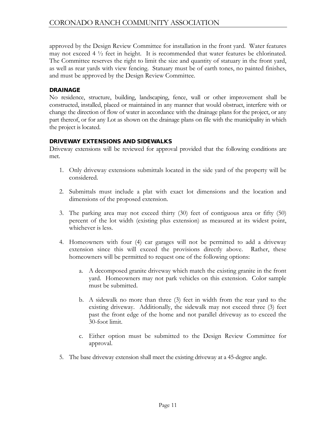approved by the Design Review Committee for installation in the front yard. Water features may not exceed  $4\frac{1}{2}$  feet in height. It is recommended that water features be chlorinated. The Committee reserves the right to limit the size and quantity of statuary in the front yard, as well as rear yards with view fencing. Statuary must be of earth tones, no painted finishes, and must be approved by the Design Review Committee.

#### <span id="page-10-0"></span>DRAINAGE

No residence, structure, building, landscaping, fence, wall or other improvement shall be constructed, installed, placed or maintained in any manner that would obstruct, interfere with or change the direction of flow of water in accordance with the drainage plans for the project, or any part thereof, or for any Lot as shown on the drainage plans on file with the municipality in which the project is located.

#### <span id="page-10-1"></span>DRIVEWAY EXTENSIONS AND SIDEWALKS

Driveway extensions will be reviewed for approval provided that the following conditions are met.

- 1. Only driveway extensions submittals located in the side yard of the property will be considered.
- 2. Submittals must include a plat with exact lot dimensions and the location and dimensions of the proposed extension.
- 3. The parking area may not exceed thirty (30) feet of contiguous area or fifty (50) percent of the lot width (existing plus extension) as measured at its widest point, whichever is less.
- 4. Homeowners with four (4) car garages will not be permitted to add a driveway extension since this will exceed the provisions directly above. Rather, these homeowners will be permitted to request one of the following options:
	- a. A decomposed granite driveway which match the existing granite in the front yard. Homeowners may not park vehicles on this extension. Color sample must be submitted.
	- b. A sidewalk no more than three (3) feet in width from the rear yard to the existing driveway. Additionally, the sidewalk may not exceed three (3) feet past the front edge of the home and not parallel driveway as to exceed the 30-foot limit.
	- c. Either option must be submitted to the Design Review Committee for approval.
- 5. The base driveway extension shall meet the existing driveway at a 45-degree angle.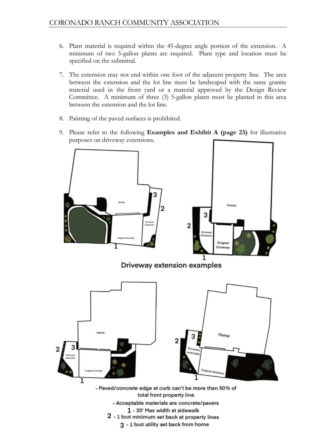- 6. Plant material is required within the 45-degree angle portion of the extension. A minimum of two 5-gallon plants are required. Plant type and location must be specified on the submittal.
- 7. The extension may not end within one foot of the adjacent property line. The area between the extension and the lot line must be landscaped with the same granite material used in the front yard or a material approved by the Design Review Committee. A minimum of three (3) 5-gallon plants must be planted in this area between the extension and the lot line.
- 8. Painting of the paved surfaces is prohibited.
- 9. Please refer to the following **Examples and Exhibit A (page 23)** for illustrative purposes on driveway extensions.

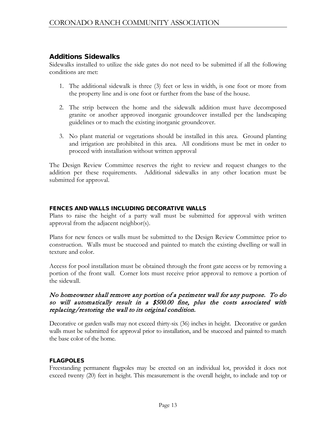# Additions Sidewalks

Sidewalks installed to utilize the side gates do not need to be submitted if all the following conditions are met:

- 1. The additional sidewalk is three (3) feet or less in width, is one foot or more from the property line and is one foot or further from the base of the house.
- 2. The strip between the home and the sidewalk addition must have decomposed granite or another approved inorganic groundcover installed per the landscaping guidelines or to mach the existing inorganic groundcover.
- 3. No plant material or vegetations should be installed in this area. Ground planting and irrigation are prohibited in this area. All conditions must be met in order to proceed with installation without written approval

The Design Review Committee reserves the right to review and request changes to the addition per these requirements. Additional sidewalks in any other location must be submitted for approval.

## <span id="page-12-0"></span>FENCES AND WALLS INCLUDING DECORATIVE WALLS

Plans to raise the height of a party wall must be submitted for approval with written approval from the adjacent neighbor(s).

Plans for new fences or walls must be submitted to the Design Review Committee prior to construction. Walls must be stuccoed and painted to match the existing dwelling or wall in texture and color.

Access for pool installation must be obtained through the front gate access or by removing a portion of the front wall. Corner lots must receive prior approval to remove a portion of the sidewall.

## No homeowner shall remove any portion of a perimeter wall for any purpose. To do so will automatically result in a \$500.00 fine, plus the costs associated with replacing/restoring the wall to its original condition.

Decorative or garden walls may not exceed thirty-six (36) inches in height. Decorative or garden walls must be submitted for approval prior to installation, and be stuccoed and painted to match the base color of the home.

## <span id="page-12-1"></span>**FLAGPOLES**

Freestanding permanent flagpoles may be erected on an individual lot, provided it does not exceed twenty (20) feet in height. This measurement is the overall height, to include and top or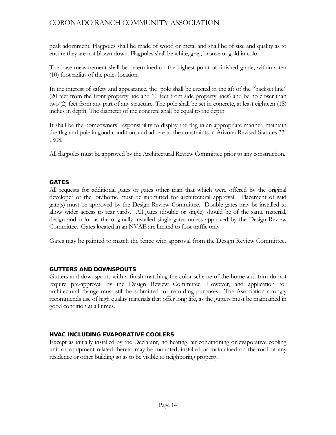# CORONADO RANCH COMMUNITY ASSOCIATION

peak adornment. Flagpoles shall be made of wood or metal and shall be of size and quality as to ensure they are not blown down. Flagpoles shall be white, gray, bronze or gold in color.

The base measurement shall be determined on the highest point of finished grade, within a ten (10) foot radius of the poles location.

In the interest of safety and appearance, the pole shall be erected in the aft of the "backset line" (20 feet from the front property line and 10 feet from side property lines) and be no closer than two (2) feet from any part of any structure. The pole shall be set in concrete, at least eighteen (18) inches in depth. The diameter of the concrete shall be equal to the depth.

It shall be the homeowners' responsibility to display the flag in an appropriate manner, maintain the flag and pole in good condition, and adhere to the constraints in Arizona Revised Statutes 33- 1808.

All flagpoles must be approved by the Architectural Review Committee prior to any construction.

#### <span id="page-13-0"></span>**GATES**

All requests for additional gates or gates other than that which were offered by the original developer of the lot/home must be submitted for architectural approval. Placement of said gate(s) must be approved by the Design Review Committee. Double gates may be installed to allow wider access to rear yards. All gates (double or single) should be of the same material, design and color as the originally installed single gates unless approved by the Design Review Committee. Gates located in an NVAE are limited to foot traffic only.

Gates may be painted to match the fence with approval from the Design Review Committee.

#### <span id="page-13-1"></span>GUTTERS AND DOWNSPOUTS

Gutters and downspouts with a finish matching the color scheme of the home and trim do not require pre-approval by the Design Review Committee. However, and application for architectural change must still be submitted for recording purposes. The Association strongly recommends use of high quality materials that offer long life, as the gutters must be maintained in good condition at all times.

#### <span id="page-13-2"></span>HVAC INCLUDING EVAPORATIVE COOLERS

Except as initially installed by the Declarant, no heating, air conditioning or evaporative cooling unit or equipment related thereto may be mounted, installed or maintained on the roof of any residence or other building so as to be visible to neighboring property.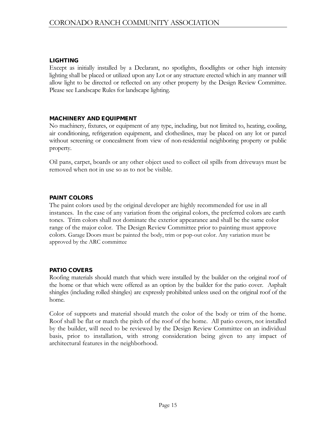#### <span id="page-14-0"></span>LIGHTING

Except as initially installed by a Declarant, no spotlights, floodlights or other high intensity lighting shall be placed or utilized upon any Lot or any structure erected which in any manner will allow light to be directed or reflected on any other property by the Design Review Committee. Please see Landscape Rules for landscape lighting.

#### <span id="page-14-1"></span>MACHINERY AND EQUIPMENT

No machinery, fixtures, or equipment of any type, including, but not limited to, heating, cooling, air conditioning, refrigeration equipment, and clotheslines, may be placed on any lot or parcel without screening or concealment from view of non-residential neighboring property or public property.

Oil pans, carpet, boards or any other object used to collect oil spills from driveways must be removed when not in use so as to not be visible.

#### <span id="page-14-2"></span>PAINT COLORS

The paint colors used by the original developer are highly recommended for use in all instances. In the case of any variation from the original colors, the preferred colors are earth tones. Trim colors shall not dominate the exterior appearance and shall be the same color range of the major color. The Design Review Committee prior to painting must approve colors. Garage Doors must be painted the body, trim or pop-out color. Any variation must be approved by the ARC committee

## <span id="page-14-3"></span>PATIO COVERS

Roofing materials should match that which were installed by the builder on the original roof of the home or that which were offered as an option by the builder for the patio cover. Asphalt shingles (including rolled shingles) are expressly prohibited unless used on the original roof of the home.

Color of supports and material should match the color of the body or trim of the home. Roof shall be flat or match the pitch of the roof of the home. All patio covers, not installed by the builder, will need to be reviewed by the Design Review Committee on an individual basis, prior to installation, with strong consideration being given to any impact of architectural features in the neighborhood.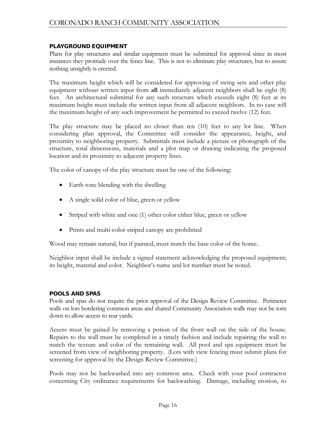## <span id="page-15-0"></span>PLAYGROUND EQUIPMENT

Plans for play structures and similar equipment must be submitted for approval since in most instances they protrude over the fence line. This is not to eliminate play structures, but to assure nothing unsightly is erected.

The maximum height which will be considered for approving of swing sets and other play equipment without written input from **all** immediately adjacent neighbors shall be eight (8) feet. An architectural submittal for any such structure which exceeds eight (8) feet at its maximum height must include the written input from all adjacent neighbors. In no case will the maximum height of any such improvement be permitted to exceed twelve (12) feet.

The play structure may be placed no closer than ten (10) feet to any lot line. When considering plan approval, the Committee will consider the appearance, height, and proximity to neighboring property. Submittals must include a picture or photograph of the structure, total dimensions, materials and a plot map or drawing indicating the proposed location and its proximity to adjacent property lines.

The color of canopy of the play structure must be one of the following:

- Earth tone blending with the dwelling
- A single solid color of blue, green or yellow
- Striped with white and one (1) other color either blue, green or yellow
- Prints and multi-color striped canopy are prohibited

Wood may remain natural, but if painted, must match the base color of the home.

Neighbor input shall be include a signed statement acknowledging the proposed equipment; its height, material and color. Neighbor's name and lot number must be noted.

## <span id="page-15-1"></span>POOLS AND SPAS

Pools and spas do not require the prior approval of the Design Review Committee. Perimeter walls on lots bordering common areas and shared Community Association walls may not be torn down to allow access to rear yards.

Access must be gained by removing a potion of the front wall on the side of the house. Repairs to the wall must be completed in a timely fashion and include repairing the wall to match the texture and color of the remaining wall. All pool and spa equipment must be screened from view of neighboring property. (Lots with view fencing must submit plans for screening for approval by the Design Review Committee.)

Pools may not be backwashed into any common area. Check with your pool contractor concerning City ordinance requirements for backwashing. Damage, including erosion, to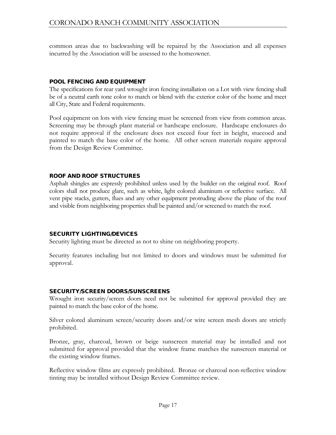common areas due to backwashing will be repaired by the Association and all expenses incurred by the Association will be assessed to the homeowner.

#### <span id="page-16-0"></span>POOL FENCING AND EQUIPMENT

The specifications for rear yard wrought iron fencing installation on a Lot with view fencing shall be of a neutral earth tone color to match or blend with the exterior color of the home and meet all City, State and Federal requirements.

Pool equipment on lots with view fencing must be screened from view from common areas. Screening may be through plant material or hardscape enclosure. Hardscape enclosures do not require approval if the enclosure does not exceed four feet in height, stuccoed and painted to match the base color of the home. All other screen materials require approval from the Design Review Committee.

#### <span id="page-16-1"></span>ROOF AND ROOF STRUCTURES

Asphalt shingles are expressly prohibited unless used by the builder on the original roof. Roof colors shall not produce glare, such as white, light colored aluminum or reflective surface. All vent pipe stacks, gutters, flues and any other equipment protruding above the plane of the roof and visible from neighboring properties shall be painted and/or screened to match the roof.

## <span id="page-16-2"></span>SECURITY LIGHTING/DEVICES

Security lighting must be directed as not to shine on neighboring property.

Security features including but not limited to doors and windows must be submitted for approval.

#### <span id="page-16-3"></span>SECURITY/SCREEN DOORS/SUNSCREENS

Wrought iron security/screen doors need not be submitted for approval provided they are painted to match the base color of the home.

Silver colored aluminum screen/security doors and/or wire screen mesh doors are strictly prohibited.

Bronze, gray, charcoal, brown or beige sunscreen material may be installed and not submitted for approval provided that the window frame matches the sunscreen material or the existing window frames.

Reflective window films are expressly prohibited. Bronze or charcoal non-reflective window tinting may be installed without Design Review Committee review.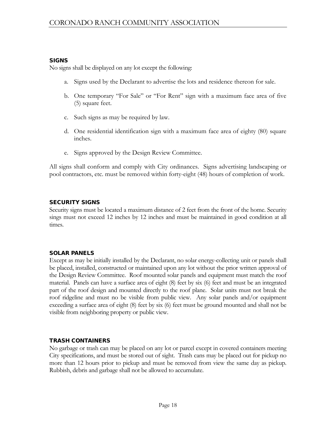#### <span id="page-17-0"></span>**SIGNS**

No signs shall be displayed on any lot except the following:

- a. Signs used by the Declarant to advertise the lots and residence thereon for sale.
- b. One temporary "For Sale" or "For Rent" sign with a maximum face area of five (5) square feet.
- c. Such signs as may be required by law.
- d. One residential identification sign with a maximum face area of eighty (80) square inches.
- e. Signs approved by the Design Review Committee.

All signs shall conform and comply with City ordinances. Signs advertising landscaping or pool contractors, etc. must be removed within forty-eight (48) hours of completion of work.

#### SECURITY SIGNS

Security signs must be located a maximum distance of 2 feet from the front of the home. Security sings must not exceed 12 inches by 12 inches and must be maintained in good condition at all times.

#### <span id="page-17-1"></span>SOLAR PANELS

Except as may be initially installed by the Declarant, no solar energy-collecting unit or panels shall be placed, installed, constructed or maintained upon any lot without the prior written approval of the Design Review Committee. Roof mounted solar panels and equipment must match the roof material. Panels can have a surface area of eight (8) feet by six (6) feet and must be an integrated part of the roof design and mounted directly to the roof plane. Solar units must not break the roof ridgeline and must no be visible from public view. Any solar panels and/or equipment exceeding a surface area of eight (8) feet by six (6) feet must be ground mounted and shall not be visible from neighboring property or public view.

#### <span id="page-17-2"></span>TRASH CONTAINERS

No garbage or trash can may be placed on any lot or parcel except in covered containers meeting City specifications, and must be stored out of sight. Trash cans may be placed out for pickup no more than 12 hours prior to pickup and must be removed from view the same day as pickup. Rubbish, debris and garbage shall not be allowed to accumulate.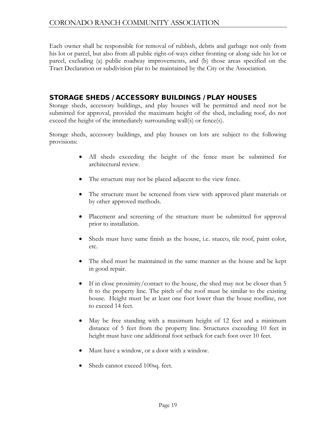Each owner shall be responsible for removal of rubbish, debris and garbage not only from his lot or parcel, but also from all public right-of-ways either fronting or along side his lot or parcel, excluding (a) public roadway improvements, and (b) those areas specified on the Tract Declaration or subdivision plat to be maintained by the City or the Association.

## <span id="page-18-0"></span>STORAGE SHEDS / ACCESSORY BUILDINGS / PLAY HOUSES

Storage sheds, accessory buildings, and play houses will be permitted and need not be submitted for approval, provided the maximum height of the shed, including roof, do not exceed the height of the immediately surrounding wall(s) or fence(s).

Storage sheds, accessory buildings, and play houses on lots are subject to the following provisions:

- All sheds exceeding the height of the fence must be submitted for architectural review.
- The structure may not be placed adjacent to the view fence.
- The structure must be screened from view with approved plant materials or by other approved methods.
- Placement and screening of the structure must be submitted for approval prior to installation.
- Sheds must have same finish as the house, i.e. stucco, tile roof, paint color, etc.
- The shed must be maintained in the same manner as the house and be kept in good repair.
- If in close proximity/contact to the house, the shed may not be closer than 5 ft to the property line. The pitch of the roof must be similar to the existing house. Height must be at least one foot lower than the house roofline, not to exceed 14 feet.
- May be free standing with a maximum height of 12 feet and a minimum distance of 5 feet from the property line. Structures exceeding 10 feet in height must have one additional foot setback for each foot over 10 feet.
- Must have a window, or a door with a window.
- Sheds cannot exceed 100sq. feet.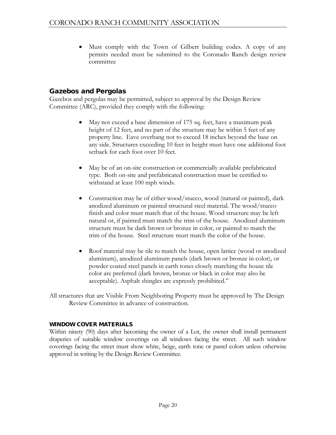Must comply with the Town of Gilbert building codes. A copy of any permits needed must be submitted to the Coronado Ranch design review committee

# Gazebos and Pergolas

Gazebos and pergolas may be permitted, subject to approval by the Design Review Committee (ARC), provided they comply with the following:

- May not exceed a base dimension of 175 sq. feet, have a maximum peak height of 12 feet, and no part of the structure may be within 5 feet of any property line. Eave overhang not to exceed 18 inches beyond the base on any side. Structures exceeding 10 feet in height must have one additional foot setback for each foot over 10 feet.
- May be of an on-site construction or commercially available prefabricated type. Both on-site and prefabricated construction must be certified to withstand at least 100 mph winds.
- Construction may be of either wood/stucco, wood (natural or painted), dark anodized aluminum or painted structural steel material. The wood/stucco finish and color must match that of the house. Wood structure may be left natural or, if painted must match the trim of the house. Anodized aluminum structure must be dark brown or bronze in color, or painted to match the trim of the house. Steel structure must match the color of the house.
- Roof material may be tile to match the house, open lattice (wood or anodized aluminum), anodized aluminum panels (dark brown or bronze in color), or powder coated steel panels in earth tones closely matching the house tile color are preferred (dark brown, bronze or black in color may also be acceptable). Asphalt shingles are expressly prohibited."

All structures that are Visible From Neighboring Property must be approved by The Design Review Committee in advance of construction.

## <span id="page-19-0"></span>WINDOW COVER MATERIALS

Within ninety (90) days after becoming the owner of a Lot, the owner shall install permanent draperies of suitable window coverings on all windows facing the street. All such window coverings facing the street must show white, beige, earth tone or pastel colors unless otherwise approved in writing by the Design Review Committee.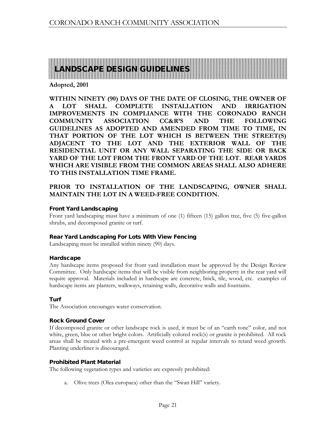# <span id="page-20-0"></span>LANDSCAPE DESIGN GUIDELINES

**Adopted, 2001**

**WITHIN NINETY (90) DAYS OF THE DATE OF CLOSING, THE OWNER OF A LOT SHALL COMPLETE INSTALLATION AND IRRIGATION IMPROVEMENTS IN COMPLIANCE WITH THE CORONADO RANCH COMMUNITY ASSOCIATION CC&R'S AND THE FOLLOWING GUIDELINES AS ADOPTED AND AMENDED FROM TIME TO TIME, IN THAT PORTION OF THE LOT WHICH IS BETWEEN THE STREET(S) ADJACENT TO THE LOT AND THE EXTERIOR WALL OF THE RESIDENTIAL UNIT OR ANY WALL SEPARATING THE SIDE OR BACK YARD OF THE LOT FROM THE FRONT YARD OF THE LOT. REAR YARDS WHICH ARE VISIBLE FROM THE COMMON AREAS SHALL ALSO ADHERE TO THIS INSTALLATION TIME FRAME.**

## **PRIOR TO INSTALLATION OF THE LANDSCAPING, OWNER SHALL MAINTAIN THE LOT IN A WEED-FREE CONDITION.**

#### Front Yard Landscaping

Front yard landscaping must have a minimum of one (1) fifteen (15) gallon tree, five (5) five-gallon shrubs, and decomposed granite or turf.

#### Rear Yard Landscaping For Lots With View Fencing

Landscaping must be installed within ninety (90) days.

#### <span id="page-20-1"></span>Hardscape

Any hardscape items proposed for front yard installation must be approved by the Design Review Committee. Only hardscape items that will be visible from neighboring property in the rear yard will require approval. Materials included in hardscape are concrete, brick, tile, wood, etc. examples of hardscape items are planters, walkways, retaining walls, decorative walls and fountains.

#### <span id="page-20-2"></span>Turf

The Association encourages water conservation.

#### <span id="page-20-3"></span>Rock Ground Cover

If decomposed granite or other landscape rock is used, it must be of an "earth tone" color, and not white, green, blue or other bright colors. Artificially colored rock(s) or granite is prohibited. All rock areas shall be treated with a pre-emergent weed control at regular intervals to retard weed growth. Planting underliner is discouraged.

#### <span id="page-20-4"></span>Prohibited Plant Material

The following vegetation types and varieties are expressly prohibited:

a. Olive trees (Olea europaea) other than the "Swan Hill" variety.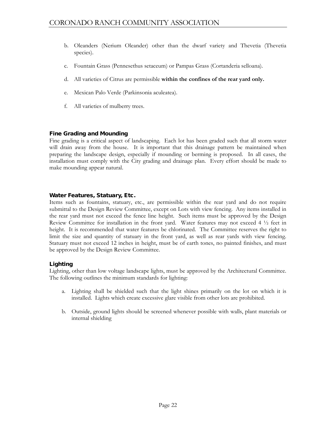- b. Oleanders (Nerium Oleander) other than the dwarf variety and Thevetia (Thevetia species).
- c. Fountain Grass (Pennesethus setaceum) or Pampas Grass (Cortanderia selloana).
- d. All varieties of Citrus are permissible **within the confines of the rear yard only.**
- e. Mexican Palo Verde (Parkinsonia aculeatea).
- f. All varieties of mulberry trees.

#### <span id="page-21-0"></span>Fine Grading and Mounding

Fine grading is a critical aspect of landscaping. Each lot has been graded such that all storm water will drain away from the house. It is important that this drainage pattern be maintained when preparing the landscape design, especially if mounding or berming is proposed. In all cases, the installation must comply with the City grading and drainage plan. Every effort should be made to make mounding appear natural.

#### <span id="page-21-1"></span>Water Features, Statuary, Etc.

Items such as fountains, statuary, etc., are permissible within the rear yard and do not require submittal to the Design Review Committee, except on Lots with view fencing. Any items installed in the rear yard must not exceed the fence line height. Such items must be approved by the Design Review Committee for installation in the front yard. Water features may not exceed 4 ½ feet in height. It is recommended that water features be chlorinated. The Committee reserves the right to limit the size and quantity of statuary in the front yard, as well as rear yards with view fencing. Statuary must not exceed 12 inches in height, must be of earth tones, no painted finishes, and must be approved by the Design Review Committee.

#### <span id="page-21-2"></span>Lighting

Lighting, other than low voltage landscape lights, must be approved by the Architectural Committee. The following outlines the minimum standards for lighting:

- a. Lighting shall be shielded such that the light shines primarily on the lot on which it is installed. Lights which create excessive glare visible from other lots are prohibited.
- b. Outside, ground lights should be screened whenever possible with walls, plant materials or internal shielding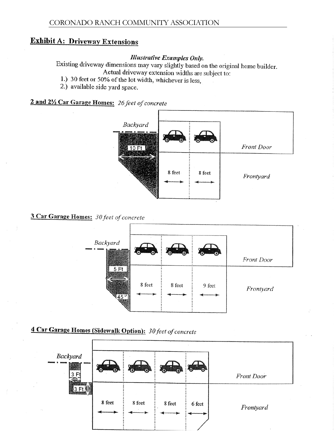# **Exhibit A: Driveway Extensions**

#### **Illustrative Examples Only.**

Existing driveway dimensions may vary slightly based on the original home builder.

Actual driveway extension widths are subject to:

- 1.) 30 feet or 50% of the lot width, whichever is less,
- 2.) available side yard space.

# 2 and 21/2 Car Garage Homes: 26 feet of concrete



3 Car Garage Homes: 30 feet of concrete



# 4 Car Garage Homes (Sidewalk Option): 30 feet of concrete

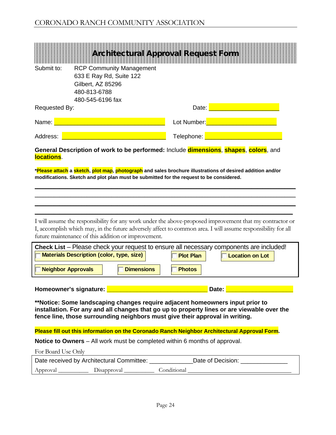<span id="page-23-0"></span>

| Submit to:<br><b>RCP Community Management</b><br>633 E Ray Rd, Suite 122<br>Gilbert, AZ 85296<br>480-813-6788<br>480-545-6196 fax                                                                                                                                               | <b>Architectural Approval Request Form</b> |                                |  |  |
|---------------------------------------------------------------------------------------------------------------------------------------------------------------------------------------------------------------------------------------------------------------------------------|--------------------------------------------|--------------------------------|--|--|
| Requested By:                                                                                                                                                                                                                                                                   | Date:                                      | <b>Service Service</b>         |  |  |
| Name:                                                                                                                                                                                                                                                                           |                                            | Lot Number: <b>All Accords</b> |  |  |
| Address:                                                                                                                                                                                                                                                                        | Telephone: <mark>_</mark>                  |                                |  |  |
| General Description of work to be performed: Include dimensions, shapes, colors, and<br>locations.                                                                                                                                                                              |                                            |                                |  |  |
| *Please attach a sketch, plot map, photograph and sales brochure illustrations of desired addition and/or<br>modifications. Sketch and plot plan must be submitted for the request to be considered.                                                                            |                                            |                                |  |  |
|                                                                                                                                                                                                                                                                                 |                                            |                                |  |  |
|                                                                                                                                                                                                                                                                                 |                                            |                                |  |  |
| I will assume the responsibility for any work under the above-proposed improvement that my contractor or<br>I, accomplish which may, in the future adversely affect to common area. I will assume responsibility for all<br>future maintenance of this addition or improvement. |                                            |                                |  |  |
| Check List - Please check your request to ensure all necessary components are included!<br><b>Materials Description (color, type, size)</b><br><b>Plot Plan</b><br><b>Location on Lot</b>                                                                                       |                                            |                                |  |  |
| <b>Neighbor Approvals</b>                                                                                                                                                                                                                                                       | <b>Dimensions</b><br><b>Photos</b>         |                                |  |  |
| Homeowner's signature: <u>________________________________</u> _<br>Date: <b>Date: Example 2019</b><br>**Notice: Some landscaping changes require adjacent homeowners input prior to                                                                                            |                                            |                                |  |  |
| installation. For any and all changes that go up to property lines or are viewable over the<br>fence line, those surrounding neighbors must give their approval in writing.                                                                                                     |                                            |                                |  |  |
| Please fill out this information on the Coronado Ranch Neighbor Architectural Approval Form.                                                                                                                                                                                    |                                            |                                |  |  |
| Notice to Owners – All work must be completed within 6 months of approval.                                                                                                                                                                                                      |                                            |                                |  |  |
| For Board Use Only<br>For Board Use Unly<br>Data received by Architectural Committee: Data of Decision:                                                                                                                                                                         |                                            |                                |  |  |

| Date received by Architectural Committee: |             |             | Date of Decision: |
|-------------------------------------------|-------------|-------------|-------------------|
| Approval                                  | Disapproval | conditional |                   |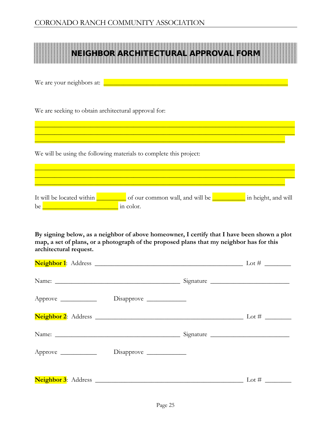<span id="page-24-0"></span>

|                                                                                                                                                                                                                                                                                                                                                                                                                                                                                                                             | NEIGHBOR ARCHITECTURAL APPROVAL FORM |  |
|-----------------------------------------------------------------------------------------------------------------------------------------------------------------------------------------------------------------------------------------------------------------------------------------------------------------------------------------------------------------------------------------------------------------------------------------------------------------------------------------------------------------------------|--------------------------------------|--|
| We are your neighbors at: <u>New York Contract and the set of the set of the set of the set of the set of the set of the set of the set of the set of the set of the set of the set of the set of the set of the set of the set </u>                                                                                                                                                                                                                                                                                        |                                      |  |
| We are seeking to obtain architectural approval for:                                                                                                                                                                                                                                                                                                                                                                                                                                                                        |                                      |  |
| We will be using the following materials to complete this project:                                                                                                                                                                                                                                                                                                                                                                                                                                                          |                                      |  |
|                                                                                                                                                                                                                                                                                                                                                                                                                                                                                                                             |                                      |  |
| It will be located within subset of our common wall, and will be seen in height, and will<br>be $\frac{1}{\sqrt{1-\frac{1}{\sqrt{1-\frac{1}{\sqrt{1-\frac{1}{\sqrt{1-\frac{1}{\sqrt{1-\frac{1}{\sqrt{1-\frac{1}{\sqrt{1-\frac{1}{\sqrt{1-\frac{1}{\sqrt{1-\frac{1}{\sqrt{1-\frac{1}{\sqrt{1-\frac{1}{\sqrt{1-\frac{1}{\sqrt{1-\frac{1}{\sqrt{1-\frac{1}{\sqrt{1-\frac{1}{\sqrt{1-\frac{1}{\sqrt{1-\frac{1}{\sqrt{1-\frac{1}{\sqrt{1-\frac{1}{\sqrt{1-\frac{1}{\sqrt{1-\frac{1}{\sqrt{1-\frac{1}{\sqrt{1-\frac{1}{\sqrt{1-\$ |                                      |  |
| By signing below, as a neighbor of above homeowner, I certify that I have been shown a plot<br>map, a set of plans, or a photograph of the proposed plans that my neighbor has for this<br>architectural request.                                                                                                                                                                                                                                                                                                           |                                      |  |
|                                                                                                                                                                                                                                                                                                                                                                                                                                                                                                                             |                                      |  |
|                                                                                                                                                                                                                                                                                                                                                                                                                                                                                                                             |                                      |  |
|                                                                                                                                                                                                                                                                                                                                                                                                                                                                                                                             |                                      |  |
|                                                                                                                                                                                                                                                                                                                                                                                                                                                                                                                             |                                      |  |
|                                                                                                                                                                                                                                                                                                                                                                                                                                                                                                                             |                                      |  |
|                                                                                                                                                                                                                                                                                                                                                                                                                                                                                                                             |                                      |  |
|                                                                                                                                                                                                                                                                                                                                                                                                                                                                                                                             |                                      |  |